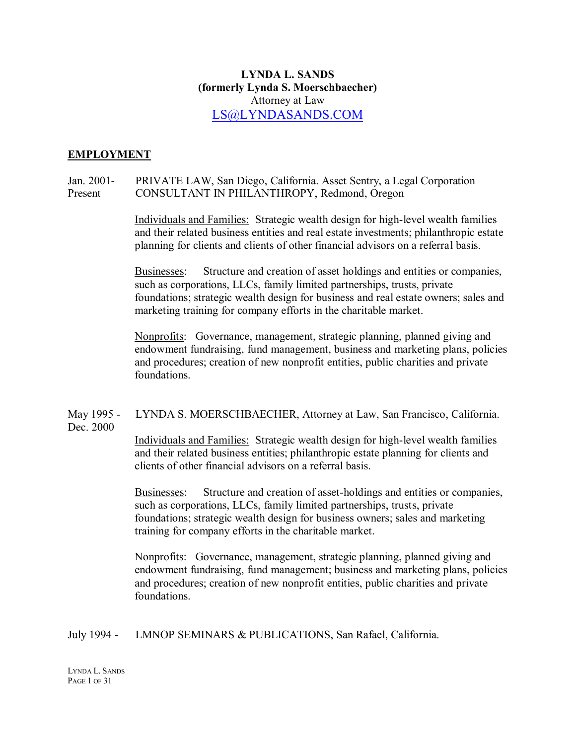# **LYNDA L. SANDS (formerly Lynda S. Moerschbaecher)** Attorney at Law LS@LYNDA[SANDS.COM](mailto:LS@LYNDASANDS.COM)

### **EMPLOYMENT**

# Jan. 2001- PRIVATE LAW, San Diego, California. Asset Sentry, a Legal Corporation Present CONSULTANT IN PHILANTHROPY, Redmond, Oregon

Individuals and Families: Strategic wealth design for high-level wealth families and their related business entities and real estate investments; philanthropic estate planning for clients and clients of other financial advisors on a referral basis.

Businesses: Structure and creation of asset holdings and entities or companies, such as corporations, LLCs, family limited partnerships, trusts, private foundations; strategic wealth design for business and real estate owners; sales and marketing training for company efforts in the charitable market.

Nonprofits: Governance, management, strategic planning, planned giving and endowment fundraising, fund management, business and marketing plans, policies and procedures; creation of new nonprofit entities, public charities and private foundations.

## May 1995 - LYNDA S. MOERSCHBAECHER, Attorney at Law, San Francisco, California. Dec. 2000

Individuals and Families: Strategic wealth design for high-level wealth families and their related business entities; philanthropic estate planning for clients and clients of other financial advisors on a referral basis.

Businesses: Structure and creation of asset-holdings and entities or companies, such as corporations, LLCs, family limited partnerships, trusts, private foundations; strategic wealth design for business owners; sales and marketing training for company efforts in the charitable market.

Nonprofits: Governance, management, strategic planning, planned giving and endowment fundraising, fund management; business and marketing plans, policies and procedures; creation of new nonprofit entities, public charities and private foundations.

July 1994 - LMNOP SEMINARS & PUBLICATIONS, San Rafael, California.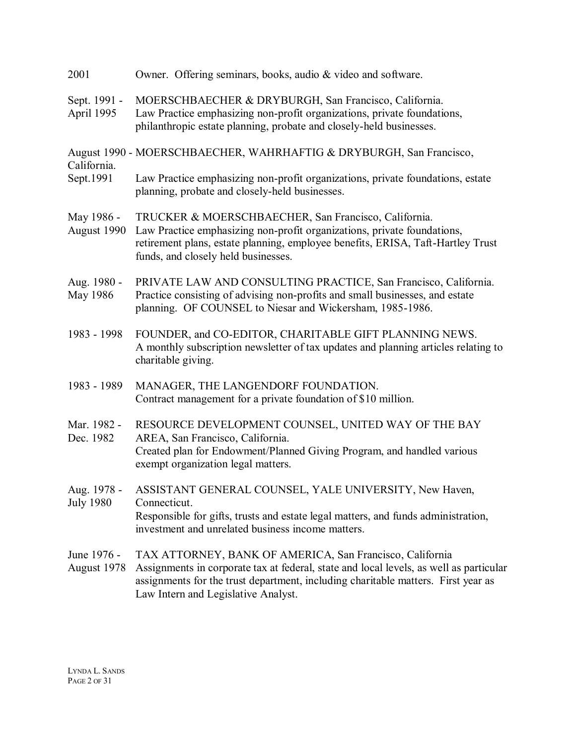| 2001                            | Owner. Offering seminars, books, audio & video and software.                                                                                                                                                                                                                   |
|---------------------------------|--------------------------------------------------------------------------------------------------------------------------------------------------------------------------------------------------------------------------------------------------------------------------------|
| Sept. 1991 -<br>April 1995      | MOERSCHBAECHER & DRYBURGH, San Francisco, California.<br>Law Practice emphasizing non-profit organizations, private foundations,<br>philanthropic estate planning, probate and closely-held businesses.                                                                        |
| California.<br>Sept.1991        | August 1990 - MOERSCHBAECHER, WAHRHAFTIG & DRYBURGH, San Francisco,                                                                                                                                                                                                            |
|                                 | Law Practice emphasizing non-profit organizations, private foundations, estate<br>planning, probate and closely-held businesses.                                                                                                                                               |
| May 1986 -<br>August 1990       | TRUCKER & MOERSCHBAECHER, San Francisco, California.<br>Law Practice emphasizing non-profit organizations, private foundations,<br>retirement plans, estate planning, employee benefits, ERISA, Taft-Hartley Trust<br>funds, and closely held businesses.                      |
| Aug. 1980 -<br>May 1986         | PRIVATE LAW AND CONSULTING PRACTICE, San Francisco, California.<br>Practice consisting of advising non-profits and small businesses, and estate<br>planning. OF COUNSEL to Niesar and Wickersham, 1985-1986.                                                                   |
| 1983 - 1998                     | FOUNDER, and CO-EDITOR, CHARITABLE GIFT PLANNING NEWS.<br>A monthly subscription newsletter of tax updates and planning articles relating to<br>charitable giving.                                                                                                             |
| 1983 - 1989                     | MANAGER, THE LANGENDORF FOUNDATION.<br>Contract management for a private foundation of \$10 million.                                                                                                                                                                           |
| Mar. 1982 -<br>Dec. 1982        | RESOURCE DEVELOPMENT COUNSEL, UNITED WAY OF THE BAY<br>AREA, San Francisco, California.<br>Created plan for Endowment/Planned Giving Program, and handled various<br>exempt organization legal matters.                                                                        |
| Aug. 1978 -<br><b>July 1980</b> | ASSISTANT GENERAL COUNSEL, YALE UNIVERSITY, New Haven,<br>Connecticut.<br>Responsible for gifts, trusts and estate legal matters, and funds administration,<br>investment and unrelated business income matters.                                                               |
| June 1976 -<br>August 1978      | TAX ATTORNEY, BANK OF AMERICA, San Francisco, California<br>Assignments in corporate tax at federal, state and local levels, as well as particular<br>assignments for the trust department, including charitable matters. First year as<br>Law Intern and Legislative Analyst. |
|                                 |                                                                                                                                                                                                                                                                                |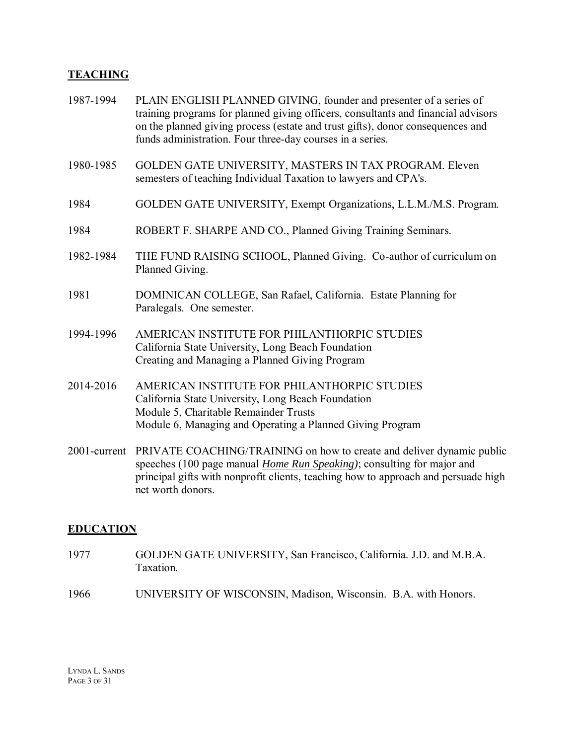# **TEACHING**

| 1987-1994    | PLAIN ENGLISH PLANNED GIVING, founder and presenter of a series of<br>training programs for planned giving officers, consultants and financial advisors<br>on the planned giving process (estate and trust gifts), donor consequences and<br>funds administration. Four three-day courses in a series. |
|--------------|--------------------------------------------------------------------------------------------------------------------------------------------------------------------------------------------------------------------------------------------------------------------------------------------------------|
| 1980-1985    | GOLDEN GATE UNIVERSITY, MASTERS IN TAX PROGRAM. Eleven<br>semesters of teaching Individual Taxation to lawyers and CPA's.                                                                                                                                                                              |
| 1984         | GOLDEN GATE UNIVERSITY, Exempt Organizations, L.L.M./M.S. Program.                                                                                                                                                                                                                                     |
| 1984         | ROBERT F. SHARPE AND CO., Planned Giving Training Seminars.                                                                                                                                                                                                                                            |
| 1982-1984    | THE FUND RAISING SCHOOL, Planned Giving. Co-author of curriculum on<br>Planned Giving.                                                                                                                                                                                                                 |
| 1981         | DOMINICAN COLLEGE, San Rafael, California. Estate Planning for<br>Paralegals. One semester.                                                                                                                                                                                                            |
| 1994-1996    | AMERICAN INSTITUTE FOR PHILANTHORPIC STUDIES<br>California State University, Long Beach Foundation<br>Creating and Managing a Planned Giving Program                                                                                                                                                   |
| 2014-2016    | AMERICAN INSTITUTE FOR PHILANTHORPIC STUDIES<br>California State University, Long Beach Foundation<br>Module 5, Charitable Remainder Trusts<br>Module 6, Managing and Operating a Planned Giving Program                                                                                               |
| 2001-current | PRIVATE COACHING/TRAINING on how to create and deliver dynamic public<br>speeches (100 page manual <i>Home Run Speaking</i> ); consulting for major and                                                                                                                                                |

# **EDUCATION**

net worth donors.

1977 GOLDEN GATE UNIVERSITY, San Francisco, California. J.D. and M.B.A. Taxation.

principal gifts with nonprofit clients, teaching how to approach and persuade high

1966 UNIVERSITY OF WISCONSIN, Madison, Wisconsin. B.A. with Honors.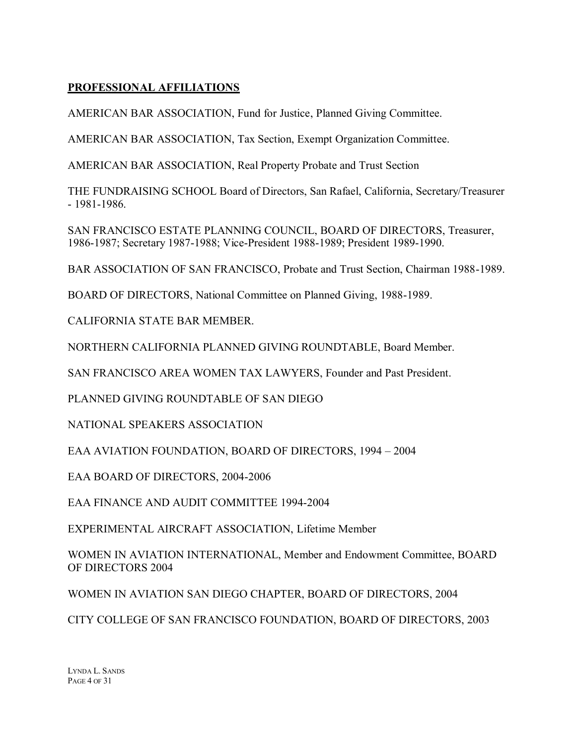# **PROFESSIONAL AFFILIATIONS**

AMERICAN BAR ASSOCIATION, Fund for Justice, Planned Giving Committee.

AMERICAN BAR ASSOCIATION, Tax Section, Exempt Organization Committee.

AMERICAN BAR ASSOCIATION, Real Property Probate and Trust Section

THE FUNDRAISING SCHOOL Board of Directors, San Rafael, California, Secretary/Treasurer - 1981-1986.

SAN FRANCISCO ESTATE PLANNING COUNCIL, BOARD OF DIRECTORS, Treasurer, 1986-1987; Secretary 1987-1988; Vice-President 1988-1989; President 1989-1990.

BAR ASSOCIATION OF SAN FRANCISCO, Probate and Trust Section, Chairman 1988-1989.

BOARD OF DIRECTORS, National Committee on Planned Giving, 1988-1989.

CALIFORNIA STATE BAR MEMBER.

NORTHERN CALIFORNIA PLANNED GIVING ROUNDTABLE, Board Member.

SAN FRANCISCO AREA WOMEN TAX LAWYERS, Founder and Past President.

PLANNED GIVING ROUNDTABLE OF SAN DIEGO

NATIONAL SPEAKERS ASSOCIATION

EAA AVIATION FOUNDATION, BOARD OF DIRECTORS, 1994 – 2004

EAA BOARD OF DIRECTORS, 2004-2006

EAA FINANCE AND AUDIT COMMITTEE 1994-2004

EXPERIMENTAL AIRCRAFT ASSOCIATION, Lifetime Member

WOMEN IN AVIATION INTERNATIONAL, Member and Endowment Committee, BOARD OF DIRECTORS 2004

WOMEN IN AVIATION SAN DIEGO CHAPTER, BOARD OF DIRECTORS, 2004

CITY COLLEGE OF SAN FRANCISCO FOUNDATION, BOARD OF DIRECTORS, 2003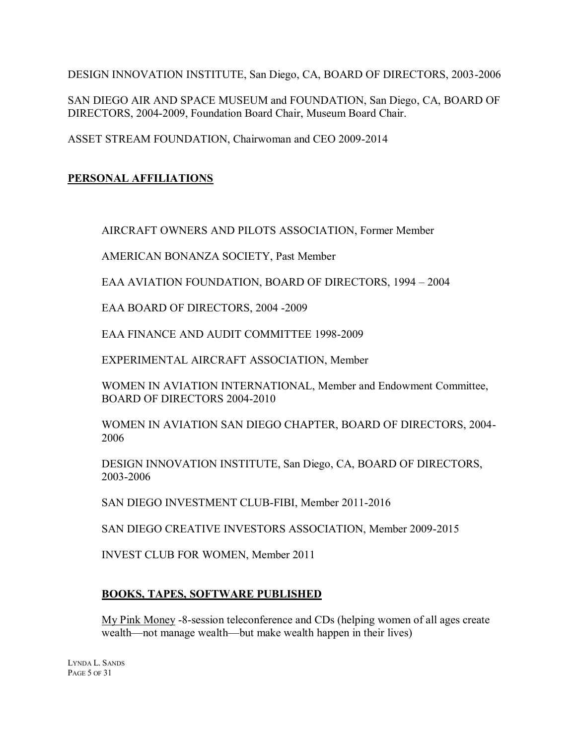DESIGN INNOVATION INSTITUTE, San Diego, CA, BOARD OF DIRECTORS, 2003-2006

SAN DIEGO AIR AND SPACE MUSEUM and FOUNDATION, San Diego, CA, BOARD OF DIRECTORS, 2004-2009, Foundation Board Chair, Museum Board Chair.

ASSET STREAM FOUNDATION, Chairwoman and CEO 2009-2014

# **PERSONAL AFFILIATIONS**

AIRCRAFT OWNERS AND PILOTS ASSOCIATION, Former Member

AMERICAN BONANZA SOCIETY, Past Member

EAA AVIATION FOUNDATION, BOARD OF DIRECTORS, 1994 – 2004

EAA BOARD OF DIRECTORS, 2004 -2009

EAA FINANCE AND AUDIT COMMITTEE 1998-2009

EXPERIMENTAL AIRCRAFT ASSOCIATION, Member

WOMEN IN AVIATION INTERNATIONAL, Member and Endowment Committee, BOARD OF DIRECTORS 2004-2010

WOMEN IN AVIATION SAN DIEGO CHAPTER, BOARD OF DIRECTORS, 2004- 2006

DESIGN INNOVATION INSTITUTE, San Diego, CA, BOARD OF DIRECTORS, 2003-2006

SAN DIEGO INVESTMENT CLUB-FIBI, Member 2011-2016

SAN DIEGO CREATIVE INVESTORS ASSOCIATION, Member 2009-2015

INVEST CLUB FOR WOMEN, Member 2011

# **BOOKS, TAPES, SOFTWARE PUBLISHED**

My Pink Money -8-session teleconference and CDs (helping women of all ages create wealth—not manage wealth—but make wealth happen in their lives)

LYNDA L. SANDS PAGE 5 OF 31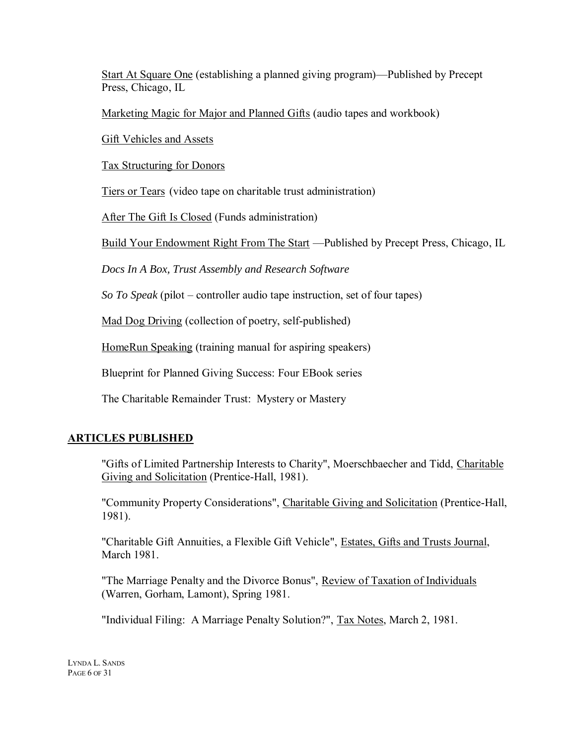Start At Square One (establishing a planned giving program)—Published by Precept Press, Chicago, IL

Marketing Magic for Major and Planned Gifts (audio tapes and workbook)

Gift Vehicles and Assets

Tax Structuring for Donors

Tiers or Tears (video tape on charitable trust administration)

After The Gift Is Closed (Funds administration)

Build Your Endowment Right From The Start —Published by Precept Press, Chicago, IL

*Docs In A Box, Trust Assembly and Research Software*

*So To Speak* (pilot – controller audio tape instruction, set of four tapes)

Mad Dog Driving (collection of poetry, self-published)

HomeRun Speaking (training manual for aspiring speakers)

Blueprint for Planned Giving Success: Four EBook series

The Charitable Remainder Trust: Mystery or Mastery

# **ARTICLES PUBLISHED**

"Gifts of Limited Partnership Interests to Charity", Moerschbaecher and Tidd, Charitable Giving and Solicitation (Prentice-Hall, 1981).

"Community Property Considerations", Charitable Giving and Solicitation (Prentice-Hall, 1981).

"Charitable Gift Annuities, a Flexible Gift Vehicle", Estates, Gifts and Trusts Journal, March 1981.

"The Marriage Penalty and the Divorce Bonus", Review of Taxation of Individuals (Warren, Gorham, Lamont), Spring 1981.

"Individual Filing: A Marriage Penalty Solution?", Tax Notes, March 2, 1981.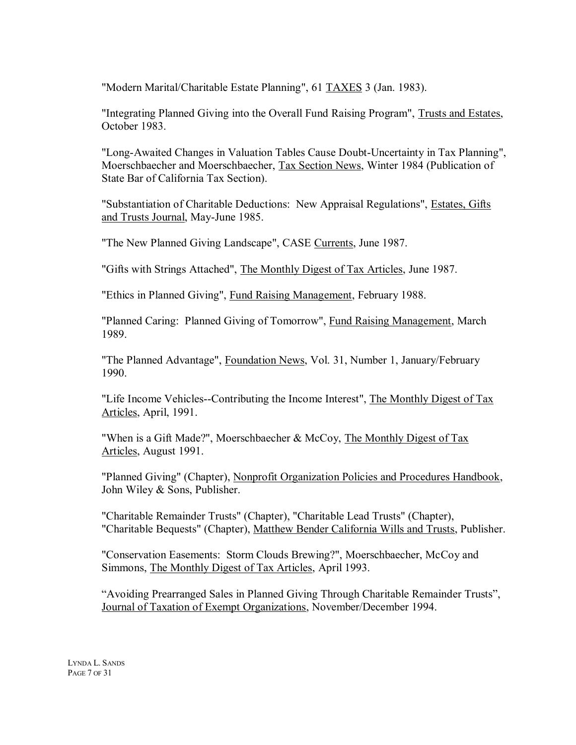"Modern Marital/Charitable Estate Planning", 61 TAXES 3 (Jan. 1983).

"Integrating Planned Giving into the Overall Fund Raising Program", Trusts and Estates, October 1983.

"Long-Awaited Changes in Valuation Tables Cause Doubt-Uncertainty in Tax Planning", Moerschbaecher and Moerschbaecher, Tax Section News, Winter 1984 (Publication of State Bar of California Tax Section).

"Substantiation of Charitable Deductions: New Appraisal Regulations", Estates, Gifts and Trusts Journal, May-June 1985.

"The New Planned Giving Landscape", CASE Currents, June 1987.

"Gifts with Strings Attached", The Monthly Digest of Tax Articles, June 1987.

"Ethics in Planned Giving", Fund Raising Management, February 1988.

"Planned Caring: Planned Giving of Tomorrow", Fund Raising Management, March 1989.

"The Planned Advantage", Foundation News, Vol. 31, Number 1, January/February 1990.

"Life Income Vehicles--Contributing the Income Interest", The Monthly Digest of Tax Articles, April, 1991.

"When is a Gift Made?", Moerschbaecher & McCoy, The Monthly Digest of Tax Articles, August 1991.

"Planned Giving" (Chapter), Nonprofit Organization Policies and Procedures Handbook, John Wiley & Sons, Publisher.

"Charitable Remainder Trusts" (Chapter), "Charitable Lead Trusts" (Chapter), "Charitable Bequests" (Chapter), Matthew Bender California Wills and Trusts, Publisher.

"Conservation Easements: Storm Clouds Brewing?", Moerschbaecher, McCoy and Simmons, The Monthly Digest of Tax Articles, April 1993.

"Avoiding Prearranged Sales in Planned Giving Through Charitable Remainder Trusts", Journal of Taxation of Exempt Organizations, November/December 1994.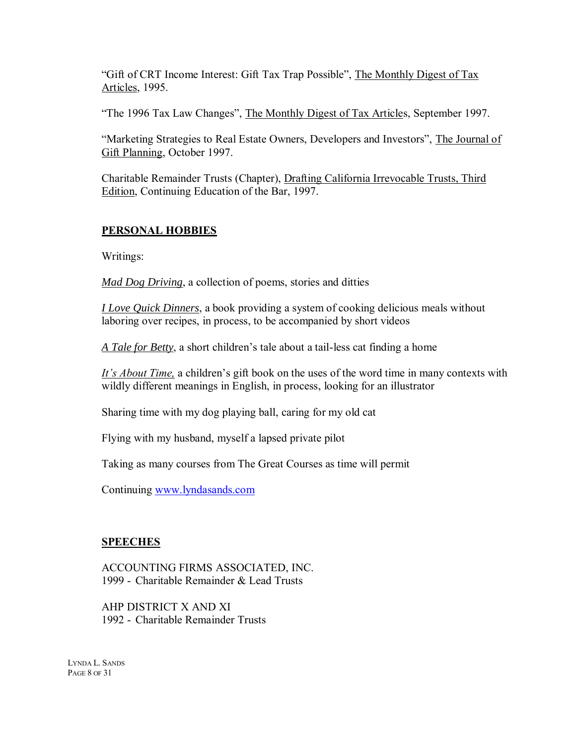"Gift of CRT Income Interest: Gift Tax Trap Possible", The Monthly Digest of Tax Articles, 1995.

"The 1996 Tax Law Changes", The Monthly Digest of Tax Articles, September 1997.

"Marketing Strategies to Real Estate Owners, Developers and Investors", The Journal of Gift Planning, October 1997.

Charitable Remainder Trusts (Chapter), Drafting California Irrevocable Trusts, Third Edition, Continuing Education of the Bar, 1997.

# **PERSONAL HOBBIES**

Writings:

*Mad Dog Driving*, a collection of poems, stories and ditties

*I Love Quick Dinners*, a book providing a system of cooking delicious meals without laboring over recipes, in process, to be accompanied by short videos

*A Tale for Betty*, a short children's tale about a tail-less cat finding a home

*It's About Time,* a children's gift book on the uses of the word time in many contexts with wildly different meanings in English, in process, looking for an illustrator

Sharing time with my dog playing ball, caring for my old cat

Flying with my husband, myself a lapsed private pilot

Taking as many courses from The Great Courses as time will permit

Continuing [www.lyndasands.com](http://www.lyndasands.com/)

#### **SPEECHES**

ACCOUNTING FIRMS ASSOCIATED, INC. 1999 - Charitable Remainder & Lead Trusts

AHP DISTRICT X AND XI 1992 - Charitable Remainder Trusts

LYNDA L. SANDS PAGE 8 OF 31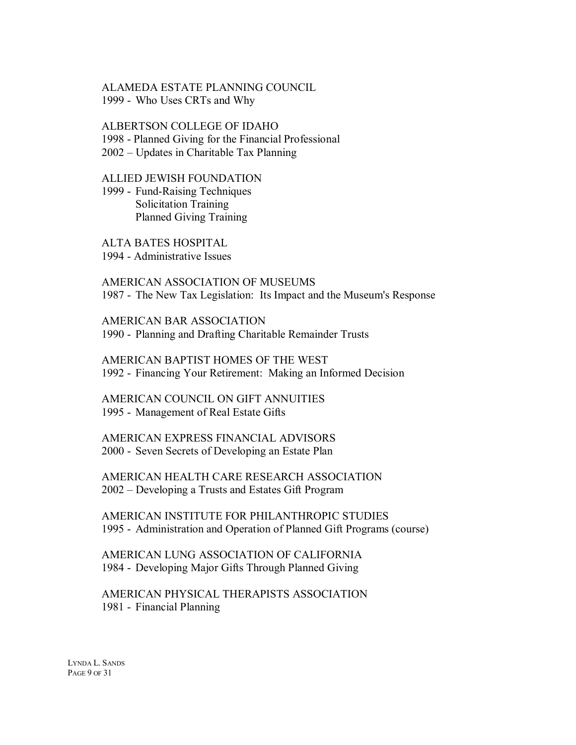#### ALAMEDA ESTATE PLANNING COUNCIL 1999 - Who Uses CRTs and Why

#### ALBERTSON COLLEGE OF IDAHO

1998 - Planned Giving for the Financial Professional

2002 – Updates in Charitable Tax Planning

#### ALLIED JEWISH FOUNDATION

1999 - Fund-Raising Techniques Solicitation Training Planned Giving Training

ALTA BATES HOSPITAL

1994 - Administrative Issues

AMERICAN ASSOCIATION OF MUSEUMS 1987 - The New Tax Legislation: Its Impact and the Museum's Response

AMERICAN BAR ASSOCIATION 1990 - Planning and Drafting Charitable Remainder Trusts

AMERICAN BAPTIST HOMES OF THE WEST 1992 - Financing Your Retirement: Making an Informed Decision

AMERICAN COUNCIL ON GIFT ANNUITIES 1995 - Management of Real Estate Gifts

AMERICAN EXPRESS FINANCIAL ADVISORS 2000 - Seven Secrets of Developing an Estate Plan

AMERICAN HEALTH CARE RESEARCH ASSOCIATION 2002 – Developing a Trusts and Estates Gift Program

AMERICAN INSTITUTE FOR PHILANTHROPIC STUDIES 1995 - Administration and Operation of Planned Gift Programs (course)

AMERICAN LUNG ASSOCIATION OF CALIFORNIA 1984 - Developing Major Gifts Through Planned Giving

AMERICAN PHYSICAL THERAPISTS ASSOCIATION 1981 - Financial Planning

LYNDA L. SANDS PAGE 9 OF 31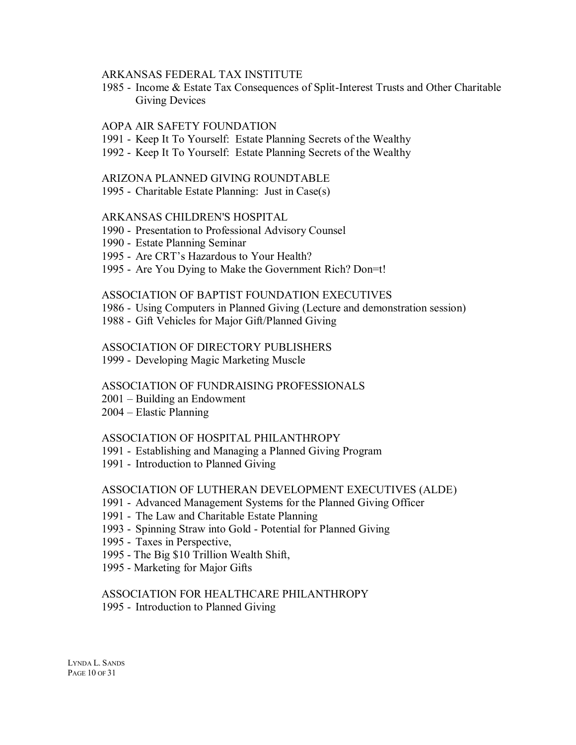#### ARKANSAS FEDERAL TAX INSTITUTE

1985 - Income & Estate Tax Consequences of Split-Interest Trusts and Other Charitable Giving Devices

#### AOPA AIR SAFETY FOUNDATION

- 1991 Keep It To Yourself: Estate Planning Secrets of the Wealthy
- 1992 Keep It To Yourself: Estate Planning Secrets of the Wealthy

#### ARIZONA PLANNED GIVING ROUNDTABLE

1995 - Charitable Estate Planning: Just in Case(s)

#### ARKANSAS CHILDREN'S HOSPITAL

- 1990 Presentation to Professional Advisory Counsel
- 1990 Estate Planning Seminar
- 1995 Are CRT's Hazardous to Your Health?
- 1995 Are You Dying to Make the Government Rich? Don=t!

#### ASSOCIATION OF BAPTIST FOUNDATION EXECUTIVES

- 1986 Using Computers in Planned Giving (Lecture and demonstration session)
- 1988 Gift Vehicles for Major Gift/Planned Giving

#### ASSOCIATION OF DIRECTORY PUBLISHERS

1999 - Developing Magic Marketing Muscle

#### ASSOCIATION OF FUNDRAISING PROFESSIONALS

- 2001 Building an Endowment
- 2004 Elastic Planning

#### ASSOCIATION OF HOSPITAL PHILANTHROPY

- 1991 Establishing and Managing a Planned Giving Program
- 1991 Introduction to Planned Giving

#### ASSOCIATION OF LUTHERAN DEVELOPMENT EXECUTIVES (ALDE)

- 1991 Advanced Management Systems for the Planned Giving Officer
- 1991 The Law and Charitable Estate Planning
- 1993 Spinning Straw into Gold Potential for Planned Giving
- 1995 Taxes in Perspective,
- 1995 The Big \$10 Trillion Wealth Shift,
- 1995 Marketing for Major Gifts

# ASSOCIATION FOR HEALTHCARE PHILANTHROPY

1995 - Introduction to Planned Giving

LYNDA L. SANDS PAGE 10 OF 31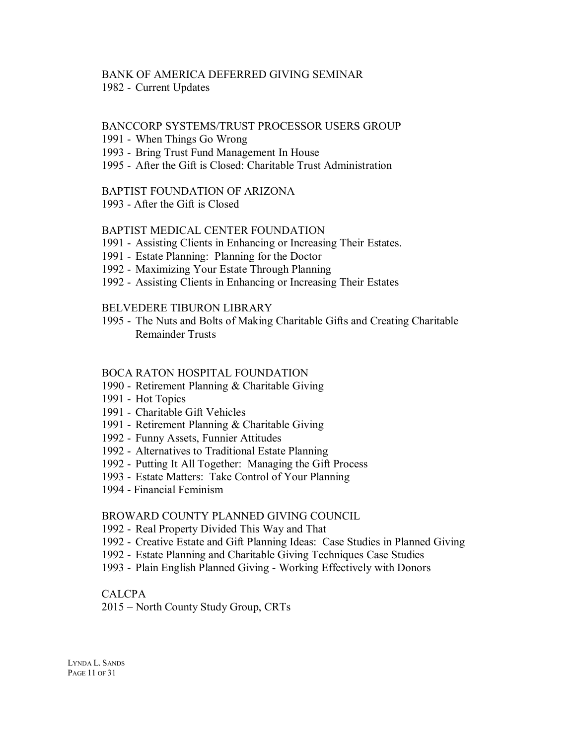# BANK OF AMERICA DEFERRED GIVING SEMINAR

1982 - Current Updates

#### BANCCORP SYSTEMS/TRUST PROCESSOR USERS GROUP

#### 1991 - When Things Go Wrong

- 1993 Bring Trust Fund Management In House
- 1995 After the Gift is Closed: Charitable Trust Administration

#### BAPTIST FOUNDATION OF ARIZONA

1993 - After the Gift is Closed

#### BAPTIST MEDICAL CENTER FOUNDATION

- 1991 Assisting Clients in Enhancing or Increasing Their Estates.
- 1991 Estate Planning: Planning for the Doctor
- 1992 Maximizing Your Estate Through Planning
- 1992 Assisting Clients in Enhancing or Increasing Their Estates

#### BELVEDERE TIBURON LIBRARY

1995 - The Nuts and Bolts of Making Charitable Gifts and Creating Charitable Remainder Trusts

#### BOCA RATON HOSPITAL FOUNDATION

- 1990 Retirement Planning & Charitable Giving
- 1991 Hot Topics
- 1991 Charitable Gift Vehicles
- 1991 Retirement Planning & Charitable Giving
- 1992 Funny Assets, Funnier Attitudes
- 1992 Alternatives to Traditional Estate Planning
- 1992 Putting It All Together: Managing the Gift Process
- 1993 Estate Matters: Take Control of Your Planning
- 1994 Financial Feminism

#### BROWARD COUNTY PLANNED GIVING COUNCIL

- 1992 Real Property Divided This Way and That
- 1992 Creative Estate and Gift Planning Ideas: Case Studies in Planned Giving
- 1992 Estate Planning and Charitable Giving Techniques Case Studies
- 1993 Plain English Planned Giving Working Effectively with Donors

#### CALCPA

2015 – North County Study Group, CRTs

LYNDA L. SANDS PAGE 11 OF 31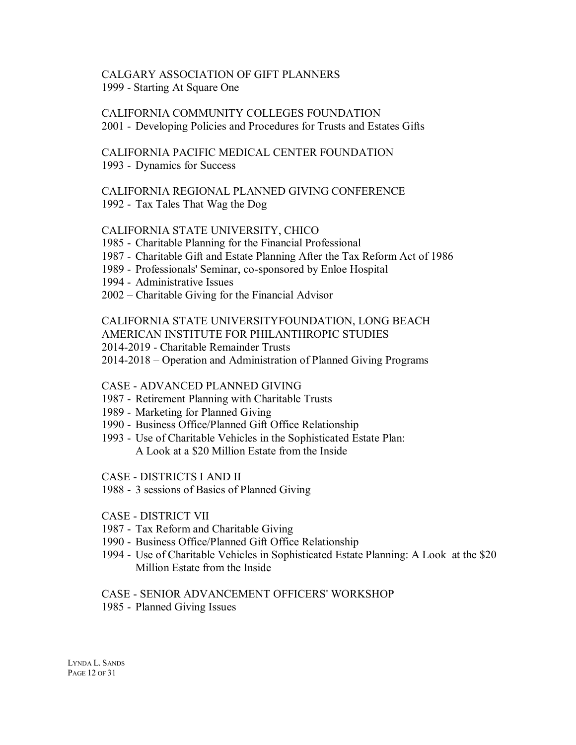#### CALGARY ASSOCIATION OF GIFT PLANNERS 1999 - Starting At Square One

CALIFORNIA COMMUNITY COLLEGES FOUNDATION 2001 - Developing Policies and Procedures for Trusts and Estates Gifts

CALIFORNIA PACIFIC MEDICAL CENTER FOUNDATION 1993 - Dynamics for Success

#### CALIFORNIA REGIONAL PLANNED GIVING CONFERENCE 1992 - Tax Tales That Wag the Dog

#### CALIFORNIA STATE UNIVERSITY, CHICO

- 1985 Charitable Planning for the Financial Professional
- 1987 Charitable Gift and Estate Planning After the Tax Reform Act of 1986
- 1989 Professionals' Seminar, co-sponsored by Enloe Hospital
- 1994 Administrative Issues
- 2002 Charitable Giving for the Financial Advisor

# CALIFORNIA STATE UNIVERSITYFOUNDATION, LONG BEACH

- AMERICAN INSTITUTE FOR PHILANTHROPIC STUDIES
- 2014-2019 Charitable Remainder Trusts
- 2014-2018 Operation and Administration of Planned Giving Programs

# CASE - ADVANCED PLANNED GIVING

- 1987 Retirement Planning with Charitable Trusts
- 1989 Marketing for Planned Giving
- 1990 Business Office/Planned Gift Office Relationship
- 1993 Use of Charitable Vehicles in the Sophisticated Estate Plan: A Look at a \$20 Million Estate from the Inside

#### CASE - DISTRICTS I AND II

- 1988 3 sessions of Basics of Planned Giving
- CASE DISTRICT VII
- 1987 Tax Reform and Charitable Giving
- 1990 Business Office/Planned Gift Office Relationship
- 1994 Use of Charitable Vehicles in Sophisticated Estate Planning: A Look at the \$20 Million Estate from the Inside

#### CASE - SENIOR ADVANCEMENT OFFICERS' WORKSHOP

1985 - Planned Giving Issues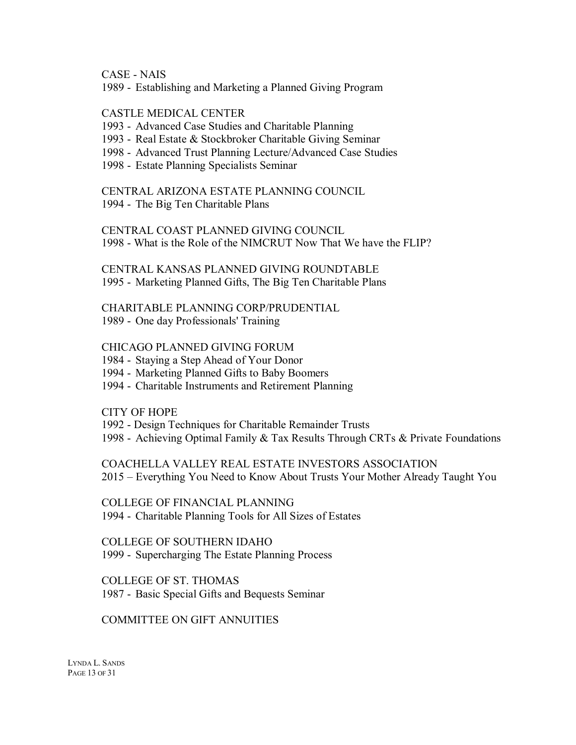CASE - NAIS

1989 - Establishing and Marketing a Planned Giving Program

# CASTLE MEDICAL CENTER

- 1993 Advanced Case Studies and Charitable Planning
- 1993 Real Estate & Stockbroker Charitable Giving Seminar
- 1998 Advanced Trust Planning Lecture/Advanced Case Studies
- 1998 Estate Planning Specialists Seminar

# CENTRAL ARIZONA ESTATE PLANNING COUNCIL

1994 - The Big Ten Charitable Plans

CENTRAL COAST PLANNED GIVING COUNCIL 1998 - What is the Role of the NIMCRUT Now That We have the FLIP?

CENTRAL KANSAS PLANNED GIVING ROUNDTABLE 1995 - Marketing Planned Gifts, The Big Ten Charitable Plans

CHARITABLE PLANNING CORP/PRUDENTIAL 1989 - One day Professionals' Training

CHICAGO PLANNED GIVING FORUM

1984 - Staying a Step Ahead of Your Donor

1994 - Marketing Planned Gifts to Baby Boomers

1994 - Charitable Instruments and Retirement Planning

CITY OF HOPE

1992 - Design Techniques for Charitable Remainder Trusts

1998 - Achieving Optimal Family & Tax Results Through CRTs & Private Foundations

COACHELLA VALLEY REAL ESTATE INVESTORS ASSOCIATION 2015 – Everything You Need to Know About Trusts Your Mother Already Taught You

COLLEGE OF FINANCIAL PLANNING 1994 - Charitable Planning Tools for All Sizes of Estates

COLLEGE OF SOUTHERN IDAHO 1999 - Supercharging The Estate Planning Process

COLLEGE OF ST. THOMAS 1987 - Basic Special Gifts and Bequests Seminar

#### COMMITTEE ON GIFT ANNUITIES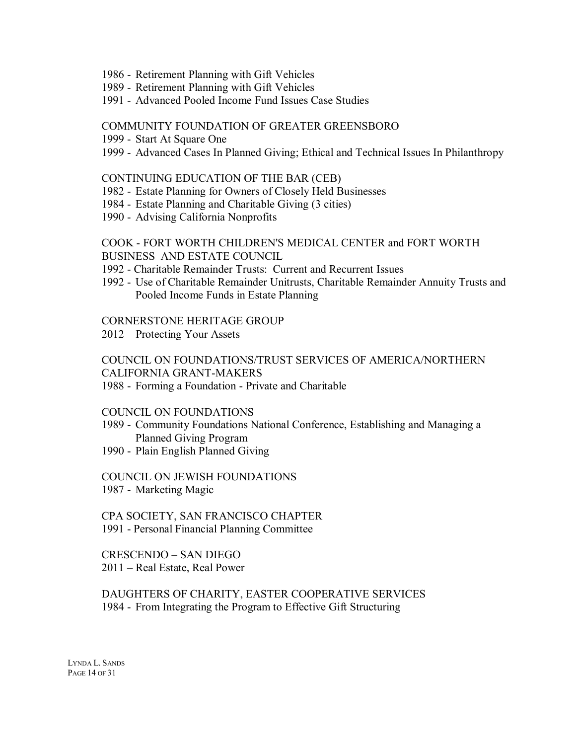- 1986 Retirement Planning with Gift Vehicles
- 1989 Retirement Planning with Gift Vehicles
- 1991 Advanced Pooled Income Fund Issues Case Studies

#### COMMUNITY FOUNDATION OF GREATER GREENSBORO

- 1999 Start At Square One
- 1999 Advanced Cases In Planned Giving; Ethical and Technical Issues In Philanthropy

#### CONTINUING EDUCATION OF THE BAR (CEB)

- 1982 Estate Planning for Owners of Closely Held Businesses
- 1984 Estate Planning and Charitable Giving (3 cities)
- 1990 Advising California Nonprofits

#### COOK - FORT WORTH CHILDREN'S MEDICAL CENTER and FORT WORTH BUSINESS AND ESTATE COUNCIL

- 1992 Charitable Remainder Trusts: Current and Recurrent Issues
- 1992 Use of Charitable Remainder Unitrusts, Charitable Remainder Annuity Trusts and Pooled Income Funds in Estate Planning

#### CORNERSTONE HERITAGE GROUP

2012 – Protecting Your Assets

#### COUNCIL ON FOUNDATIONS/TRUST SERVICES OF AMERICA/NORTHERN CALIFORNIA GRANT-MAKERS

1988 - Forming a Foundation - Private and Charitable

#### COUNCIL ON FOUNDATIONS

- 1989 Community Foundations National Conference, Establishing and Managing a Planned Giving Program
- 1990 Plain English Planned Giving

#### COUNCIL ON JEWISH FOUNDATIONS

1987 - Marketing Magic

CPA SOCIETY, SAN FRANCISCO CHAPTER 1991 - Personal Financial Planning Committee

CRESCENDO – SAN DIEGO 2011 – Real Estate, Real Power

#### DAUGHTERS OF CHARITY, EASTER COOPERATIVE SERVICES 1984 - From Integrating the Program to Effective Gift Structuring

LYNDA L. SANDS PAGE 14 OF 31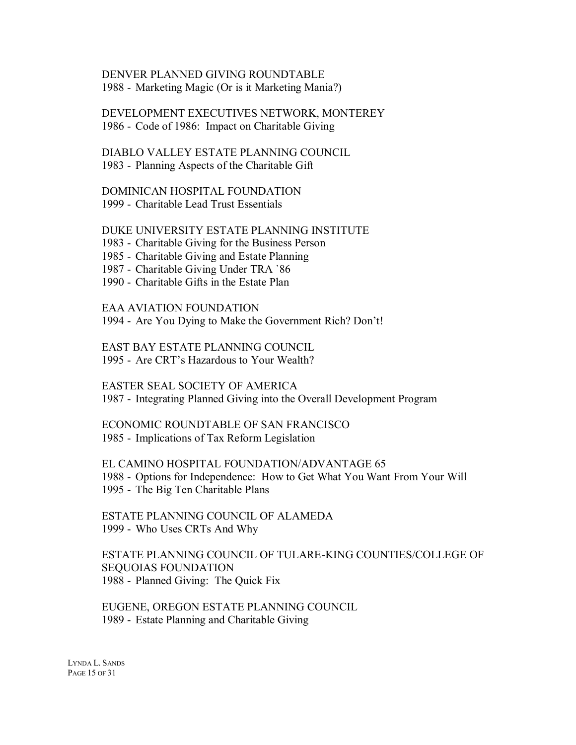DENVER PLANNED GIVING ROUNDTABLE 1988 - Marketing Magic (Or is it Marketing Mania?)

DEVELOPMENT EXECUTIVES NETWORK, MONTEREY 1986 - Code of 1986: Impact on Charitable Giving

DIABLO VALLEY ESTATE PLANNING COUNCIL 1983 - Planning Aspects of the Charitable Gift

DOMINICAN HOSPITAL FOUNDATION 1999 - Charitable Lead Trust Essentials

DUKE UNIVERSITY ESTATE PLANNING INSTITUTE

1983 - Charitable Giving for the Business Person

1985 - Charitable Giving and Estate Planning

1987 - Charitable Giving Under TRA `86

1990 - Charitable Gifts in the Estate Plan

EAA AVIATION FOUNDATION

1994 - Are You Dying to Make the Government Rich? Don't!

EAST BAY ESTATE PLANNING COUNCIL 1995 - Are CRT's Hazardous to Your Wealth?

EASTER SEAL SOCIETY OF AMERICA 1987 - Integrating Planned Giving into the Overall Development Program

ECONOMIC ROUNDTABLE OF SAN FRANCISCO 1985 - Implications of Tax Reform Legislation

EL CAMINO HOSPITAL FOUNDATION/ADVANTAGE 65 1988 - Options for Independence: How to Get What You Want From Your Will 1995 - The Big Ten Charitable Plans

ESTATE PLANNING COUNCIL OF ALAMEDA 1999 - Who Uses CRTs And Why

ESTATE PLANNING COUNCIL OF TULARE-KING COUNTIES/COLLEGE OF SEQUOIAS FOUNDATION 1988 - Planned Giving: The Quick Fix

EUGENE, OREGON ESTATE PLANNING COUNCIL 1989 - Estate Planning and Charitable Giving

LYNDA L. SANDS PAGE 15 OF 31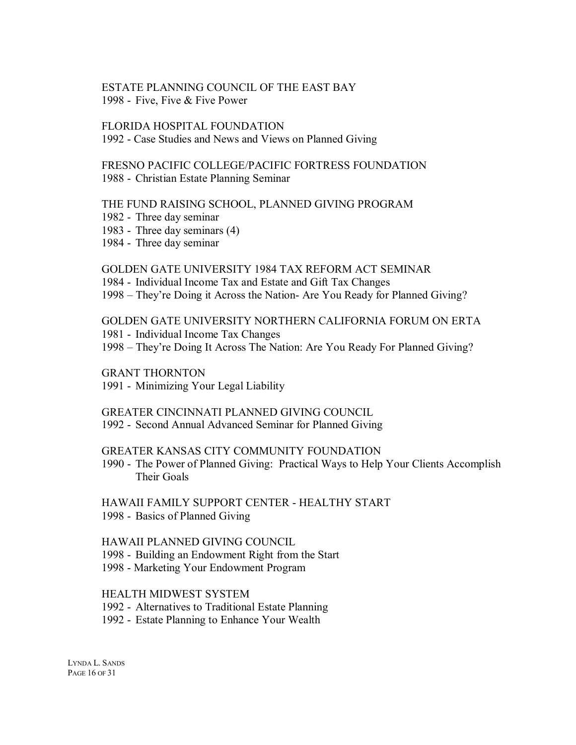#### ESTATE PLANNING COUNCIL OF THE EAST BAY 1998 - Five, Five & Five Power

#### FLORIDA HOSPITAL FOUNDATION

1992 - Case Studies and News and Views on Planned Giving

# FRESNO PACIFIC COLLEGE/PACIFIC FORTRESS FOUNDATION

1988 - Christian Estate Planning Seminar

#### THE FUND RAISING SCHOOL, PLANNED GIVING PROGRAM

- 1982 Three day seminar
- 1983 Three day seminars (4)
- 1984 Three day seminar

#### GOLDEN GATE UNIVERSITY 1984 TAX REFORM ACT SEMINAR

- 1984 Individual Income Tax and Estate and Gift Tax Changes
- 1998 They're Doing it Across the Nation- Are You Ready for Planned Giving?

GOLDEN GATE UNIVERSITY NORTHERN CALIFORNIA FORUM ON ERTA

- 1981 Individual Income Tax Changes
- 1998 They're Doing It Across The Nation: Are You Ready For Planned Giving?

GRANT THORNTON

1991 - Minimizing Your Legal Liability

#### GREATER CINCINNATI PLANNED GIVING COUNCIL

1992 - Second Annual Advanced Seminar for Planned Giving

#### GREATER KANSAS CITY COMMUNITY FOUNDATION

1990 - The Power of Planned Giving: Practical Ways to Help Your Clients Accomplish Their Goals

### HAWAII FAMILY SUPPORT CENTER - HEALTHY START 1998 - Basics of Planned Giving

#### HAWAII PLANNED GIVING COUNCIL

- 1998 Building an Endowment Right from the Start
- 1998 Marketing Your Endowment Program

#### HEALTH MIDWEST SYSTEM

- 1992 Alternatives to Traditional Estate Planning
- 1992 Estate Planning to Enhance Your Wealth

LYNDA L. SANDS PAGE 16 OF 31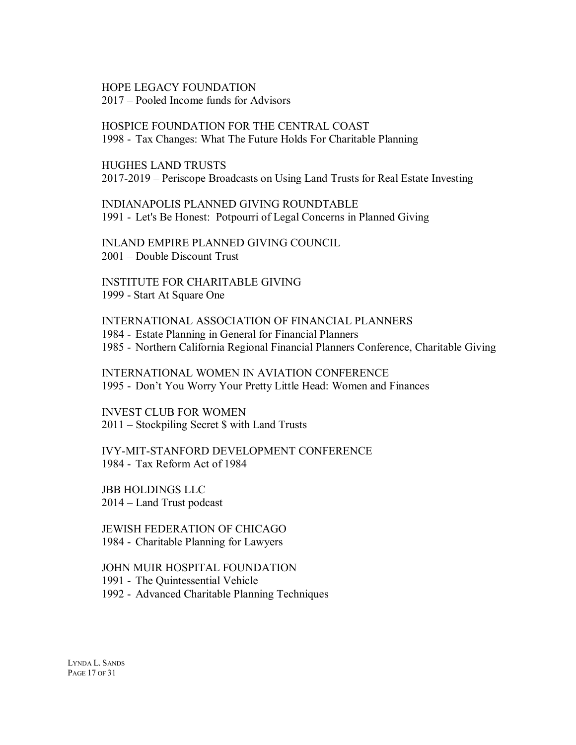HOPE LEGACY FOUNDATION 2017 – Pooled Income funds for Advisors

HOSPICE FOUNDATION FOR THE CENTRAL COAST 1998 - Tax Changes: What The Future Holds For Charitable Planning

HUGHES LAND TRUSTS 2017-2019 – Periscope Broadcasts on Using Land Trusts for Real Estate Investing

INDIANAPOLIS PLANNED GIVING ROUNDTABLE 1991 - Let's Be Honest: Potpourri of Legal Concerns in Planned Giving

INLAND EMPIRE PLANNED GIVING COUNCIL 2001 – Double Discount Trust

INSTITUTE FOR CHARITABLE GIVING 1999 - Start At Square One

INTERNATIONAL ASSOCIATION OF FINANCIAL PLANNERS 1984 - Estate Planning in General for Financial Planners 1985 - Northern California Regional Financial Planners Conference, Charitable Giving

INTERNATIONAL WOMEN IN AVIATION CONFERENCE 1995 - Don't You Worry Your Pretty Little Head: Women and Finances

INVEST CLUB FOR WOMEN 2011 – Stockpiling Secret \$ with Land Trusts

IVY-MIT-STANFORD DEVELOPMENT CONFERENCE 1984 - Tax Reform Act of 1984

JBB HOLDINGS LLC 2014 – Land Trust podcast

JEWISH FEDERATION OF CHICAGO 1984 - Charitable Planning for Lawyers

JOHN MUIR HOSPITAL FOUNDATION

1991 - The Quintessential Vehicle

1992 - Advanced Charitable Planning Techniques

LYNDA L. SANDS PAGE 17 OF 31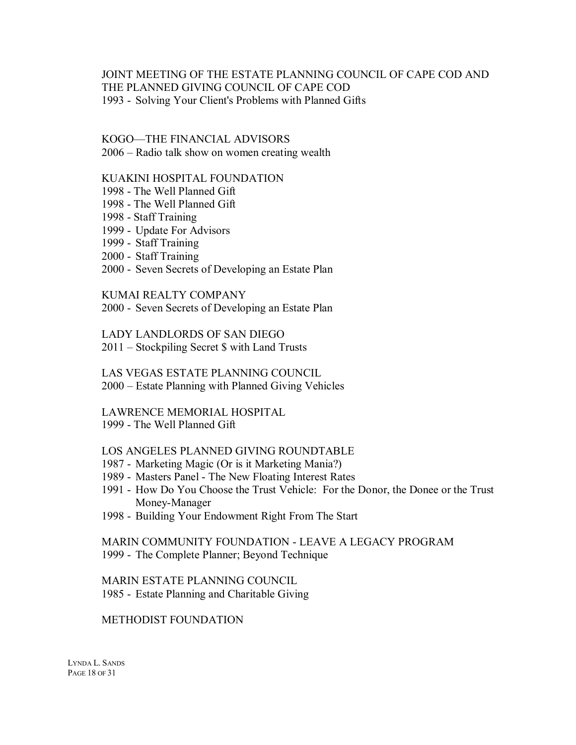JOINT MEETING OF THE ESTATE PLANNING COUNCIL OF CAPE COD AND THE PLANNED GIVING COUNCIL OF CAPE COD 1993 - Solving Your Client's Problems with Planned Gifts

#### KOGO—THE FINANCIAL ADVISORS

2006 – Radio talk show on women creating wealth

### KUAKINI HOSPITAL FOUNDATION

- 1998 The Well Planned Gift
- 1998 The Well Planned Gift
- 1998 Staff Training
- 1999 Update For Advisors
- 1999 Staff Training
- 2000 Staff Training
- 2000 Seven Secrets of Developing an Estate Plan

#### KUMAI REALTY COMPANY

2000 - Seven Secrets of Developing an Estate Plan

LADY LANDLORDS OF SAN DIEGO

2011 – Stockpiling Secret \$ with Land Trusts

LAS VEGAS ESTATE PLANNING COUNCIL

2000 – Estate Planning with Planned Giving Vehicles

#### LAWRENCE MEMORIAL HOSPITAL

#### 1999 - The Well Planned Gift

#### LOS ANGELES PLANNED GIVING ROUNDTABLE

- 1987 Marketing Magic (Or is it Marketing Mania?)
- 1989 Masters Panel The New Floating Interest Rates
- 1991 How Do You Choose the Trust Vehicle: For the Donor, the Donee or the Trust Money-Manager
- 1998 Building Your Endowment Right From The Start

#### MARIN COMMUNITY FOUNDATION - LEAVE A LEGACY PROGRAM 1999 - The Complete Planner; Beyond Technique

MARIN ESTATE PLANNING COUNCIL 1985 - Estate Planning and Charitable Giving

#### METHODIST FOUNDATION

LYNDA L. SANDS PAGE 18 OF 31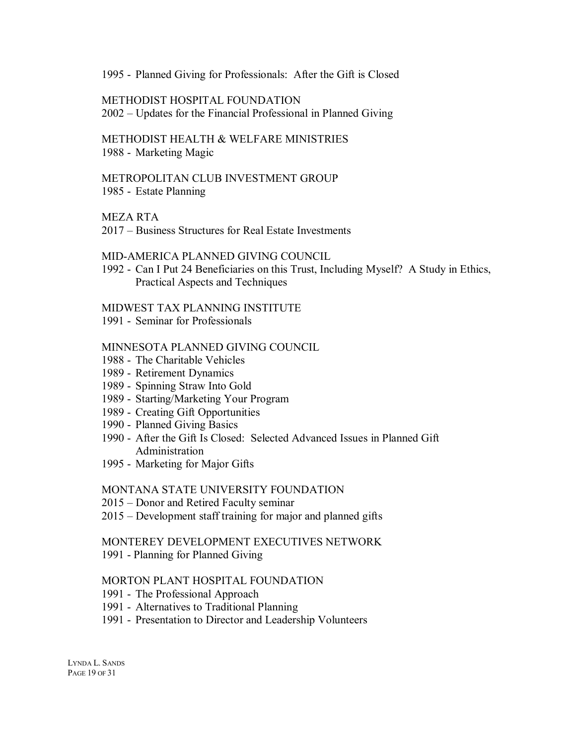1995 - Planned Giving for Professionals: After the Gift is Closed

#### METHODIST HOSPITAL FOUNDATION

2002 – Updates for the Financial Professional in Planned Giving

#### METHODIST HEALTH & WELFARE MINISTRIES 1988 - Marketing Magic

#### METROPOLITAN CLUB INVESTMENT GROUP 1985 - Estate Planning

#### MEZA RTA

2017 – Business Structures for Real Estate Investments

#### MID-AMERICA PLANNED GIVING COUNCIL

1992 - Can I Put 24 Beneficiaries on this Trust, Including Myself? A Study in Ethics, Practical Aspects and Techniques

#### MIDWEST TAX PLANNING INSTITUTE

1991 - Seminar for Professionals

#### MINNESOTA PLANNED GIVING COUNCIL

- 1988 The Charitable Vehicles
- 1989 Retirement Dynamics
- 1989 Spinning Straw Into Gold
- 1989 Starting/Marketing Your Program
- 1989 Creating Gift Opportunities
- 1990 Planned Giving Basics
- 1990 After the Gift Is Closed: Selected Advanced Issues in Planned Gift Administration
- 1995 Marketing for Major Gifts

#### MONTANA STATE UNIVERSITY FOUNDATION

- 2015 Donor and Retired Faculty seminar
- 2015 Development staff training for major and planned gifts

#### MONTEREY DEVELOPMENT EXECUTIVES NETWORK

1991 - Planning for Planned Giving

#### MORTON PLANT HOSPITAL FOUNDATION

- 1991 The Professional Approach
- 1991 Alternatives to Traditional Planning
- 1991 Presentation to Director and Leadership Volunteers

LYNDA L. SANDS PAGE 19 OF 31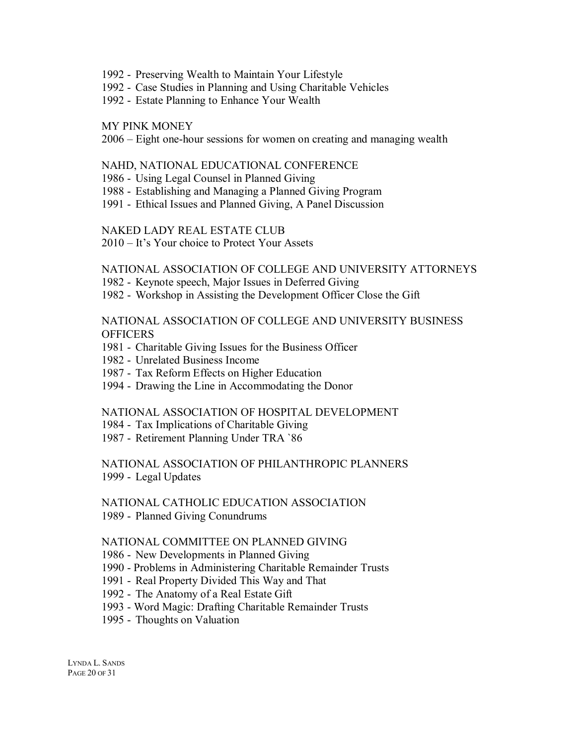- 1992 Preserving Wealth to Maintain Your Lifestyle
- 1992 Case Studies in Planning and Using Charitable Vehicles
- 1992 Estate Planning to Enhance Your Wealth

#### MY PINK MONEY

2006 – Eight one-hour sessions for women on creating and managing wealth

#### NAHD, NATIONAL EDUCATIONAL CONFERENCE

- 1986 Using Legal Counsel in Planned Giving
- 1988 Establishing and Managing a Planned Giving Program
- 1991 Ethical Issues and Planned Giving, A Panel Discussion

#### NAKED LADY REAL ESTATE CLUB

2010 – It's Your choice to Protect Your Assets

#### NATIONAL ASSOCIATION OF COLLEGE AND UNIVERSITY ATTORNEYS

1982 - Keynote speech, Major Issues in Deferred Giving

1982 - Workshop in Assisting the Development Officer Close the Gift

NATIONAL ASSOCIATION OF COLLEGE AND UNIVERSITY BUSINESS **OFFICERS** 

- 1981 Charitable Giving Issues for the Business Officer
- 1982 Unrelated Business Income
- 1987 Tax Reform Effects on Higher Education
- 1994 Drawing the Line in Accommodating the Donor

#### NATIONAL ASSOCIATION OF HOSPITAL DEVELOPMENT

- 1984 Tax Implications of Charitable Giving
- 1987 Retirement Planning Under TRA `86

#### NATIONAL ASSOCIATION OF PHILANTHROPIC PLANNERS 1999 - Legal Updates

#### NATIONAL CATHOLIC EDUCATION ASSOCIATION 1989 - Planned Giving Conundrums

#### NATIONAL COMMITTEE ON PLANNED GIVING

1986 - New Developments in Planned Giving

- 1990 Problems in Administering Charitable Remainder Trusts
- 1991 Real Property Divided This Way and That
- 1992 The Anatomy of a Real Estate Gift
- 1993 Word Magic: Drafting Charitable Remainder Trusts
- 1995 Thoughts on Valuation

LYNDA L. SANDS PAGE 20 OF 31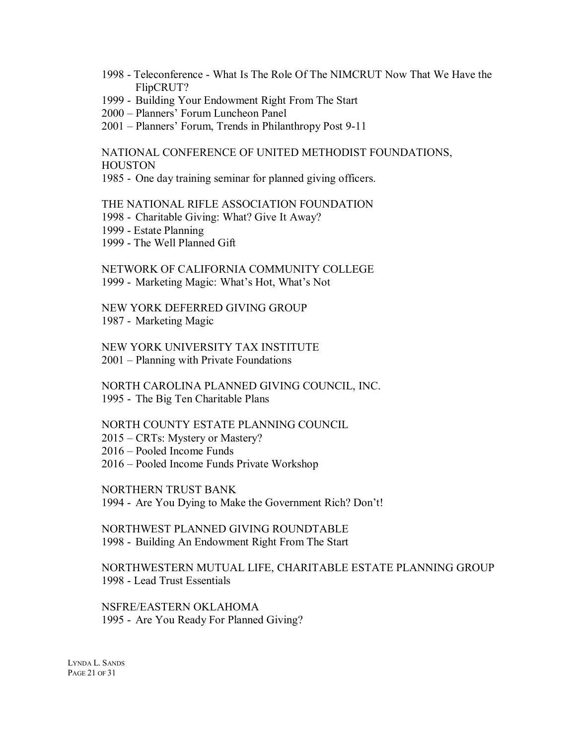- 1998 Teleconference What Is The Role Of The NIMCRUT Now That We Have the FlipCRUT?
- 1999 Building Your Endowment Right From The Start
- 2000 Planners' Forum Luncheon Panel
- 2001 Planners' Forum, Trends in Philanthropy Post 9-11

NATIONAL CONFERENCE OF UNITED METHODIST FOUNDATIONS, **HOUSTON** 

1985 - One day training seminar for planned giving officers.

THE NATIONAL RIFLE ASSOCIATION FOUNDATION

- 1998 Charitable Giving: What? Give It Away?
- 1999 Estate Planning
- 1999 The Well Planned Gift

NETWORK OF CALIFORNIA COMMUNITY COLLEGE 1999 - Marketing Magic: What's Hot, What's Not

NEW YORK DEFERRED GIVING GROUP 1987 - Marketing Magic

NEW YORK UNIVERSITY TAX INSTITUTE 2001 – Planning with Private Foundations

NORTH CAROLINA PLANNED GIVING COUNCIL, INC. 1995 - The Big Ten Charitable Plans

#### NORTH COUNTY ESTATE PLANNING COUNCIL

2015 – CRTs: Mystery or Mastery?

2016 – Pooled Income Funds

2016 – Pooled Income Funds Private Workshop

NORTHERN TRUST BANK

1994 - Are You Dying to Make the Government Rich? Don't!

NORTHWEST PLANNED GIVING ROUNDTABLE 1998 - Building An Endowment Right From The Start

NORTHWESTERN MUTUAL LIFE, CHARITABLE ESTATE PLANNING GROUP 1998 - Lead Trust Essentials

NSFRE/EASTERN OKLAHOMA 1995 - Are You Ready For Planned Giving?

LYNDA L. SANDS PAGE 21 OF 31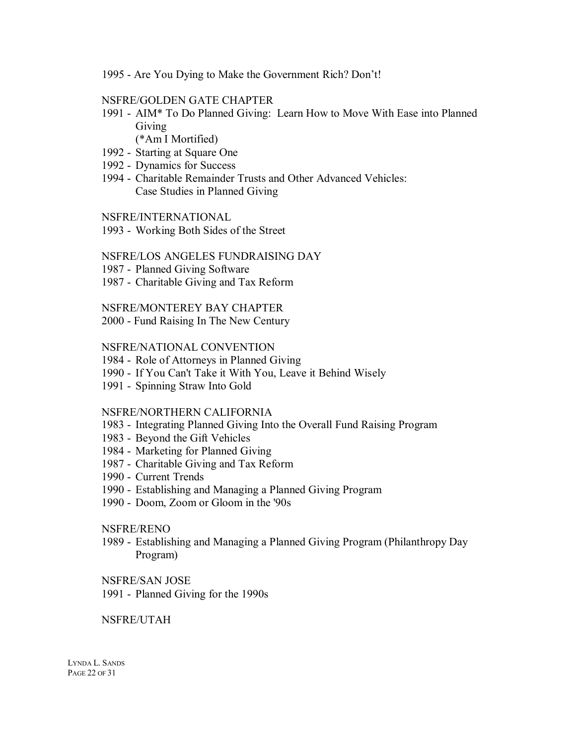1995 - Are You Dying to Make the Government Rich? Don't!

#### NSFRE/GOLDEN GATE CHAPTER

- 1991 AIM\* To Do Planned Giving: Learn How to Move With Ease into Planned Giving
	- (\*Am I Mortified)
- 1992 Starting at Square One
- 1992 Dynamics for Success
- 1994 Charitable Remainder Trusts and Other Advanced Vehicles: Case Studies in Planned Giving

#### NSFRE/INTERNATIONAL

1993 - Working Both Sides of the Street

#### NSFRE/LOS ANGELES FUNDRAISING DAY

- 1987 Planned Giving Software
- 1987 Charitable Giving and Tax Reform

#### NSFRE/MONTEREY BAY CHAPTER

2000 - Fund Raising In The New Century

#### NSFRE/NATIONAL CONVENTION

- 1984 Role of Attorneys in Planned Giving
- 1990 If You Can't Take it With You, Leave it Behind Wisely
- 1991 Spinning Straw Into Gold

#### NSFRE/NORTHERN CALIFORNIA

- 1983 Integrating Planned Giving Into the Overall Fund Raising Program
- 1983 Beyond the Gift Vehicles
- 1984 Marketing for Planned Giving
- 1987 Charitable Giving and Tax Reform
- 1990 Current Trends
- 1990 Establishing and Managing a Planned Giving Program
- 1990 Doom, Zoom or Gloom in the '90s

#### NSFRE/RENO

1989 - Establishing and Managing a Planned Giving Program (Philanthropy Day Program)

#### NSFRE/SAN JOSE

1991 - Planned Giving for the 1990s

#### NSFRE/UTAH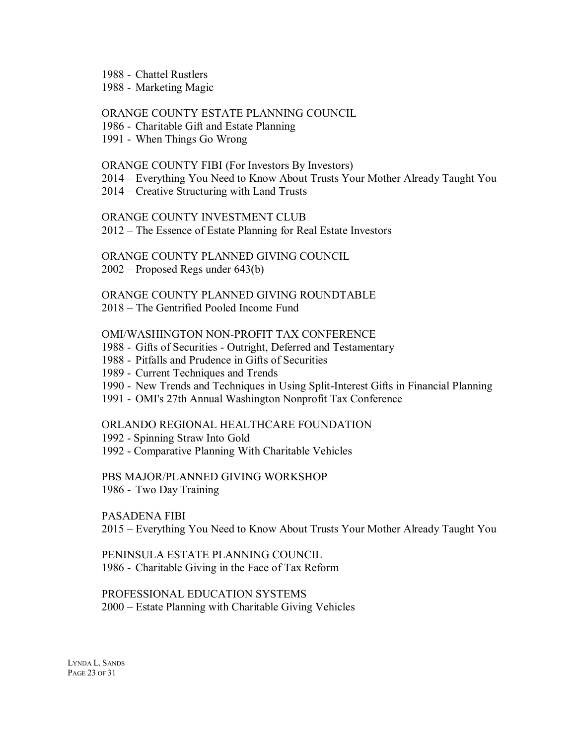1988 - Chattel Rustlers

1988 - Marketing Magic

ORANGE COUNTY ESTATE PLANNING COUNCIL

1986 - Charitable Gift and Estate Planning

1991 - When Things Go Wrong

#### ORANGE COUNTY FIBI (For Investors By Investors)

2014 – Everything You Need to Know About Trusts Your Mother Already Taught You

2014 – Creative Structuring with Land Trusts

ORANGE COUNTY INVESTMENT CLUB

2012 – The Essence of Estate Planning for Real Estate Investors

ORANGE COUNTY PLANNED GIVING COUNCIL 2002 – Proposed Regs under 643(b)

ORANGE COUNTY PLANNED GIVING ROUNDTABLE

2018 – The Gentrified Pooled Income Fund

#### OMI/WASHINGTON NON-PROFIT TAX CONFERENCE

- 1988 Gifts of Securities Outright, Deferred and Testamentary
- 1988 Pitfalls and Prudence in Gifts of Securities
- 1989 Current Techniques and Trends
- 1990 New Trends and Techniques in Using Split-Interest Gifts in Financial Planning
- 1991 OMI's 27th Annual Washington Nonprofit Tax Conference

#### ORLANDO REGIONAL HEALTHCARE FOUNDATION

- 1992 Spinning Straw Into Gold
- 1992 Comparative Planning With Charitable Vehicles

PBS MAJOR/PLANNED GIVING WORKSHOP

1986 - Two Day Training

PASADENA FIBI

2015 – Everything You Need to Know About Trusts Your Mother Already Taught You

PENINSULA ESTATE PLANNING COUNCIL 1986 - Charitable Giving in the Face of Tax Reform

PROFESSIONAL EDUCATION SYSTEMS 2000 – Estate Planning with Charitable Giving Vehicles

LYNDA L. SANDS PAGE 23 OF 31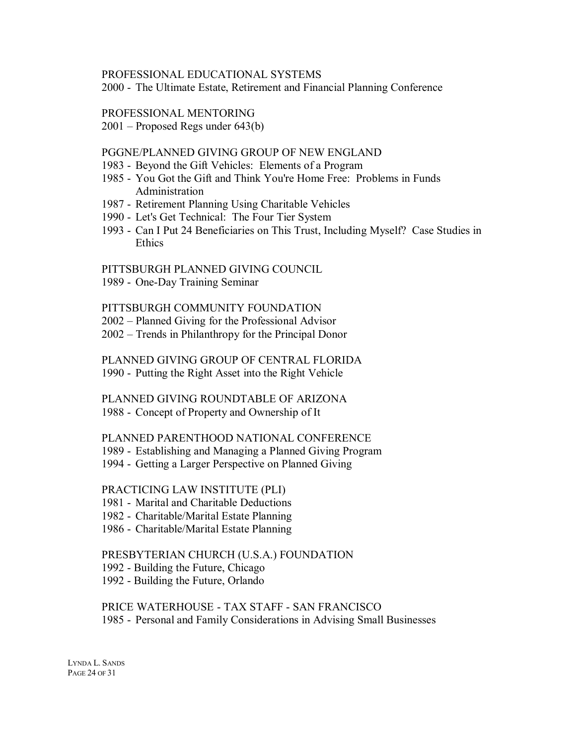#### PROFESSIONAL EDUCATIONAL SYSTEMS

2000 - The Ultimate Estate, Retirement and Financial Planning Conference

#### PROFESSIONAL MENTORING

2001 – Proposed Regs under 643(b)

#### PGGNE/PLANNED GIVING GROUP OF NEW ENGLAND

- 1983 Beyond the Gift Vehicles: Elements of a Program
- 1985 You Got the Gift and Think You're Home Free: Problems in Funds Administration
- 1987 Retirement Planning Using Charitable Vehicles
- 1990 Let's Get Technical: The Four Tier System
- 1993 Can I Put 24 Beneficiaries on This Trust, Including Myself? Case Studies in Ethics

#### PITTSBURGH PLANNED GIVING COUNCIL

1989 - One-Day Training Seminar

#### PITTSBURGH COMMUNITY FOUNDATION

- 2002 Planned Giving for the Professional Advisor
- 2002 Trends in Philanthropy for the Principal Donor

PLANNED GIVING GROUP OF CENTRAL FLORIDA 1990 - Putting the Right Asset into the Right Vehicle

#### PLANNED GIVING ROUNDTABLE OF ARIZONA

1988 - Concept of Property and Ownership of It

#### PLANNED PARENTHOOD NATIONAL CONFERENCE

- 1989 Establishing and Managing a Planned Giving Program
- 1994 Getting a Larger Perspective on Planned Giving

#### PRACTICING LAW INSTITUTE (PLI)

- 1981 Marital and Charitable Deductions
- 1982 Charitable/Marital Estate Planning
- 1986 Charitable/Marital Estate Planning

#### PRESBYTERIAN CHURCH (U.S.A.) FOUNDATION

- 1992 Building the Future, Chicago
- 1992 Building the Future, Orlando

# PRICE WATERHOUSE - TAX STAFF - SAN FRANCISCO 1985 - Personal and Family Considerations in Advising Small Businesses

LYNDA L. SANDS PAGE 24 OF 31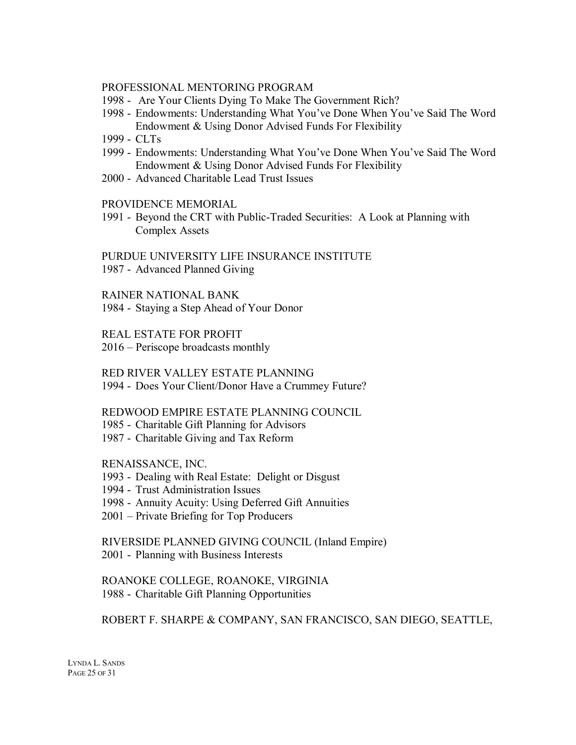#### PROFESSIONAL MENTORING PROGRAM

- 1998 Are Your Clients Dying To Make The Government Rich?
- 1998 Endowments: Understanding What You've Done When You've Said The Word Endowment & Using Donor Advised Funds For Flexibility
- 1999 CLTs
- 1999 Endowments: Understanding What You've Done When You've Said The Word Endowment & Using Donor Advised Funds For Flexibility
- 2000 Advanced Charitable Lead Trust Issues

#### PROVIDENCE MEMORIAL

1991 - Beyond the CRT with Public-Traded Securities: A Look at Planning with Complex Assets

PURDUE UNIVERSITY LIFE INSURANCE INSTITUTE 1987 - Advanced Planned Giving

RAINER NATIONAL BANK

1984 - Staying a Step Ahead of Your Donor

REAL ESTATE FOR PROFIT

2016 – Periscope broadcasts monthly

RED RIVER VALLEY ESTATE PLANNING 1994 - Does Your Client/Donor Have a Crummey Future?

#### REDWOOD EMPIRE ESTATE PLANNING COUNCIL

- 1985 Charitable Gift Planning for Advisors
- 1987 Charitable Giving and Tax Reform

RENAISSANCE, INC.

- 1993 Dealing with Real Estate: Delight or Disgust
- 1994 Trust Administration Issues
- 1998 Annuity Acuity: Using Deferred Gift Annuities
- 2001 Private Briefing for Top Producers

RIVERSIDE PLANNED GIVING COUNCIL (Inland Empire) 2001 - Planning with Business Interests

ROANOKE COLLEGE, ROANOKE, VIRGINIA 1988 - Charitable Gift Planning Opportunities

ROBERT F. SHARPE & COMPANY, SAN FRANCISCO, SAN DIEGO, SEATTLE,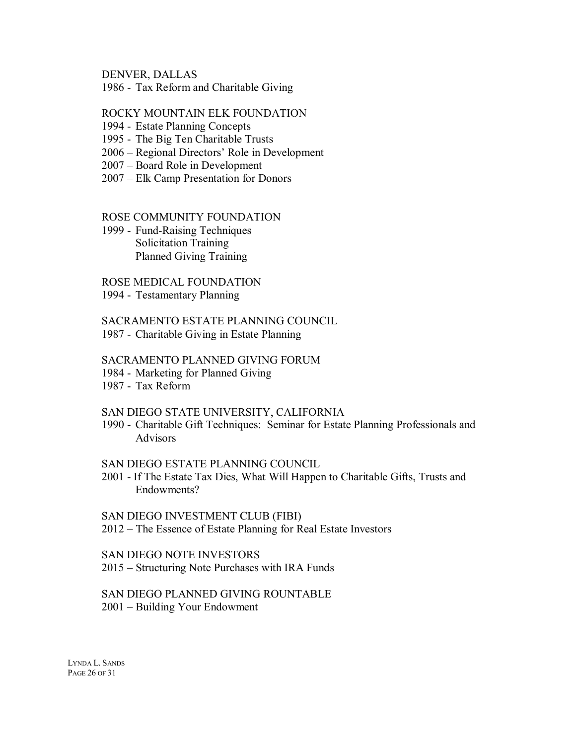DENVER, DALLAS

1986 - Tax Reform and Charitable Giving

#### ROCKY MOUNTAIN ELK FOUNDATION

- 1994 Estate Planning Concepts
- 1995 The Big Ten Charitable Trusts
- 2006 Regional Directors' Role in Development
- 2007 Board Role in Development
- 2007 Elk Camp Presentation for Donors

#### ROSE COMMUNITY FOUNDATION

1999 - Fund-Raising Techniques Solicitation Training Planned Giving Training

#### ROSE MEDICAL FOUNDATION

1994 - Testamentary Planning

#### SACRAMENTO ESTATE PLANNING COUNCIL

1987 - Charitable Giving in Estate Planning

#### SACRAMENTO PLANNED GIVING FORUM

- 1984 Marketing for Planned Giving
- 1987 Tax Reform

#### SAN DIEGO STATE UNIVERSITY, CALIFORNIA

1990 - Charitable Gift Techniques: Seminar for Estate Planning Professionals and Advisors

#### SAN DIEGO ESTATE PLANNING COUNCIL

2001 - If The Estate Tax Dies, What Will Happen to Charitable Gifts, Trusts and Endowments?

SAN DIEGO INVESTMENT CLUB (FIBI) 2012 – The Essence of Estate Planning for Real Estate Investors

SAN DIEGO NOTE INVESTORS 2015 – Structuring Note Purchases with IRA Funds

#### SAN DIEGO PLANNED GIVING ROUNTABLE 2001 – Building Your Endowment

LYNDA L. SANDS PAGE 26 OF 31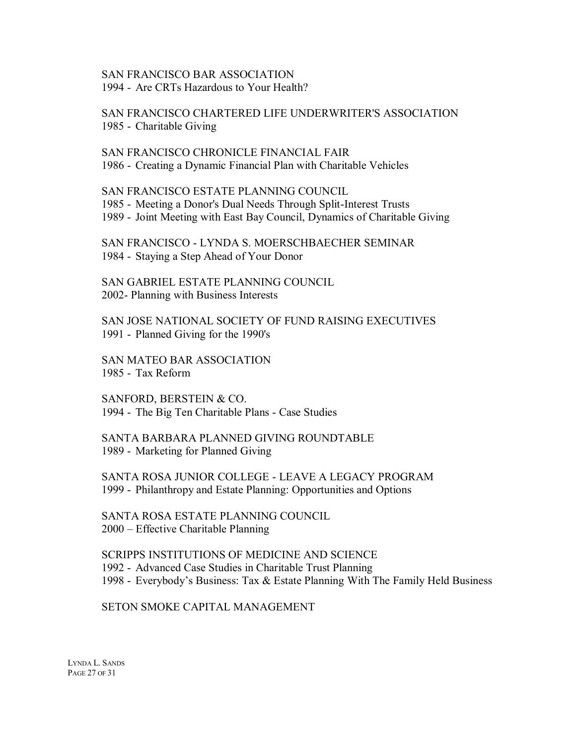#### SAN FRANCISCO BAR ASSOCIATION 1994 - Are CRTs Hazardous to Your Health?

SAN FRANCISCO CHARTERED LIFE UNDERWRITER'S ASSOCIATION 1985 - Charitable Giving

SAN FRANCISCO CHRONICLE FINANCIAL FAIR 1986 - Creating a Dynamic Financial Plan with Charitable Vehicles

SAN FRANCISCO ESTATE PLANNING COUNCIL 1985 - Meeting a Donor's Dual Needs Through Split-Interest Trusts 1989 - Joint Meeting with East Bay Council, Dynamics of Charitable Giving

SAN FRANCISCO - LYNDA S. MOERSCHBAECHER SEMINAR 1984 - Staying a Step Ahead of Your Donor

SAN GABRIEL ESTATE PLANNING COUNCIL 2002- Planning with Business Interests

SAN JOSE NATIONAL SOCIETY OF FUND RAISING EXECUTIVES 1991 - Planned Giving for the 1990's

SAN MATEO BAR ASSOCIATION 1985 - Tax Reform

SANFORD, BERSTEIN & CO. 1994 - The Big Ten Charitable Plans - Case Studies

SANTA BARBARA PLANNED GIVING ROUNDTABLE 1989 - Marketing for Planned Giving

SANTA ROSA JUNIOR COLLEGE - LEAVE A LEGACY PROGRAM 1999 - Philanthropy and Estate Planning: Opportunities and Options

SANTA ROSA ESTATE PLANNING COUNCIL 2000 – Effective Charitable Planning

SCRIPPS INSTITUTIONS OF MEDICINE AND SCIENCE 1992 - Advanced Case Studies in Charitable Trust Planning 1998 - Everybody's Business: Tax & Estate Planning With The Family Held Business

SETON SMOKE CAPITAL MANAGEMENT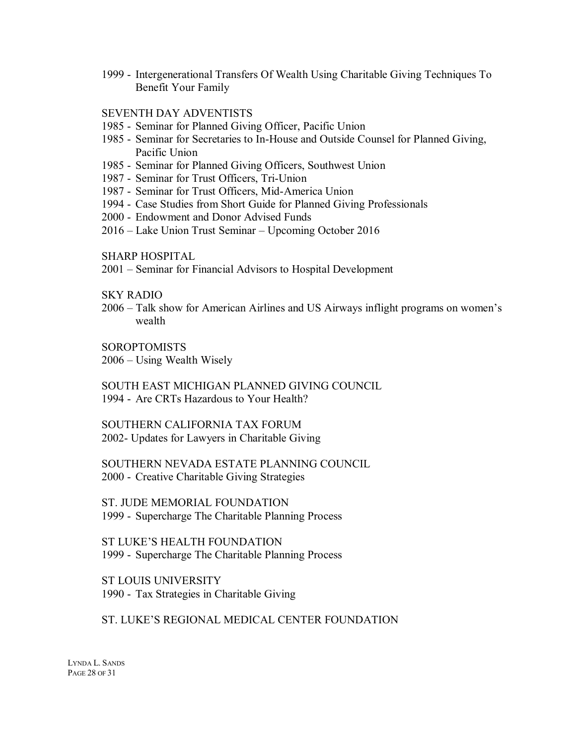1999 - Intergenerational Transfers Of Wealth Using Charitable Giving Techniques To Benefit Your Family

#### SEVENTH DAY ADVENTISTS

- 1985 Seminar for Planned Giving Officer, Pacific Union
- 1985 Seminar for Secretaries to In-House and Outside Counsel for Planned Giving, Pacific Union
- 1985 Seminar for Planned Giving Officers, Southwest Union
- 1987 Seminar for Trust Officers, Tri-Union
- 1987 Seminar for Trust Officers, Mid-America Union
- 1994 Case Studies from Short Guide for Planned Giving Professionals
- 2000 Endowment and Donor Advised Funds
- 2016 Lake Union Trust Seminar Upcoming October 2016

SHARP HOSPITAL

2001 – Seminar for Financial Advisors to Hospital Development

SKY RADIO

2006 – Talk show for American Airlines and US Airways inflight programs on women's wealth

**SOROPTOMISTS** 

2006 – Using Wealth Wisely

SOUTH EAST MICHIGAN PLANNED GIVING COUNCIL 1994 - Are CRTs Hazardous to Your Health?

SOUTHERN CALIFORNIA TAX FORUM 2002- Updates for Lawyers in Charitable Giving

SOUTHERN NEVADA ESTATE PLANNING COUNCIL 2000 - Creative Charitable Giving Strategies

ST. JUDE MEMORIAL FOUNDATION 1999 - Supercharge The Charitable Planning Process

ST LUKE'S HEALTH FOUNDATION 1999 - Supercharge The Charitable Planning Process

ST LOUIS UNIVERSITY 1990 - Tax Strategies in Charitable Giving

#### ST. LUKE'S REGIONAL MEDICAL CENTER FOUNDATION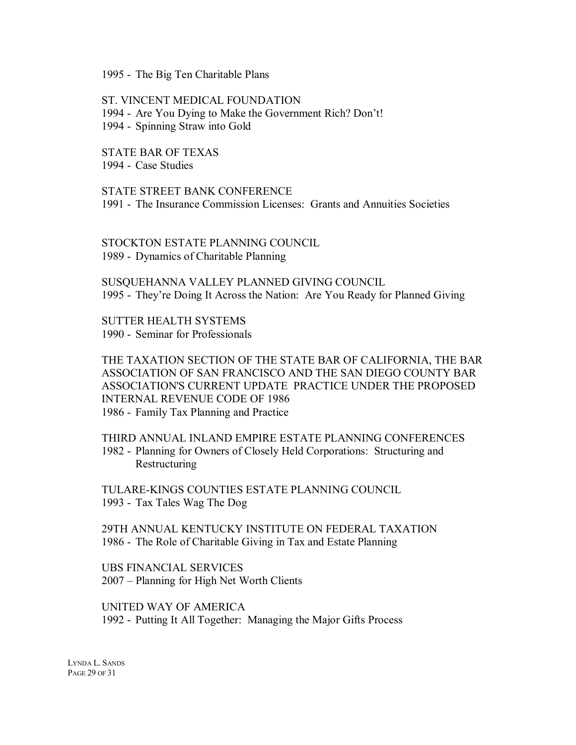1995 - The Big Ten Charitable Plans

ST. VINCENT MEDICAL FOUNDATION 1994 - Are You Dying to Make the Government Rich? Don't! 1994 - Spinning Straw into Gold

STATE BAR OF TEXAS 1994 - Case Studies

STATE STREET BANK CONFERENCE 1991 - The Insurance Commission Licenses: Grants and Annuities Societies

STOCKTON ESTATE PLANNING COUNCIL 1989 - Dynamics of Charitable Planning

SUSQUEHANNA VALLEY PLANNED GIVING COUNCIL 1995 - They're Doing It Across the Nation: Are You Ready for Planned Giving

SUTTER HEALTH SYSTEMS 1990 - Seminar for Professionals

THE TAXATION SECTION OF THE STATE BAR OF CALIFORNIA, THE BAR ASSOCIATION OF SAN FRANCISCO AND THE SAN DIEGO COUNTY BAR ASSOCIATION'S CURRENT UPDATE PRACTICE UNDER THE PROPOSED INTERNAL REVENUE CODE OF 1986 1986 - Family Tax Planning and Practice

THIRD ANNUAL INLAND EMPIRE ESTATE PLANNING CONFERENCES 1982 - Planning for Owners of Closely Held Corporations: Structuring and Restructuring

TULARE-KINGS COUNTIES ESTATE PLANNING COUNCIL 1993 - Tax Tales Wag The Dog

29TH ANNUAL KENTUCKY INSTITUTE ON FEDERAL TAXATION 1986 - The Role of Charitable Giving in Tax and Estate Planning

UBS FINANCIAL SERVICES 2007 – Planning for High Net Worth Clients

UNITED WAY OF AMERICA 1992 - Putting It All Together: Managing the Major Gifts Process

LYNDA L. SANDS PAGE 29 OF 31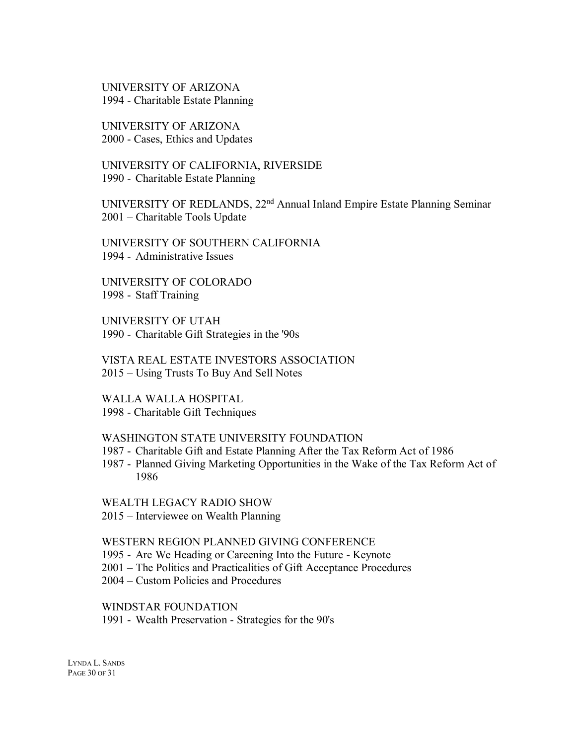UNIVERSITY OF ARIZONA 1994 - Charitable Estate Planning

UNIVERSITY OF ARIZONA 2000 - Cases, Ethics and Updates

UNIVERSITY OF CALIFORNIA, RIVERSIDE 1990 - Charitable Estate Planning

UNIVERSITY OF REDLANDS, 22<sup>nd</sup> Annual Inland Empire Estate Planning Seminar 2001 – Charitable Tools Update

UNIVERSITY OF SOUTHERN CALIFORNIA 1994 - Administrative Issues

UNIVERSITY OF COLORADO 1998 - Staff Training

UNIVERSITY OF UTAH 1990 - Charitable Gift Strategies in the '90s

VISTA REAL ESTATE INVESTORS ASSOCIATION 2015 – Using Trusts To Buy And Sell Notes

WALLA WALLA HOSPITAL 1998 - Charitable Gift Techniques

#### WASHINGTON STATE UNIVERSITY FOUNDATION

- 1987 Charitable Gift and Estate Planning After the Tax Reform Act of 1986
- 1987 Planned Giving Marketing Opportunities in the Wake of the Tax Reform Act of 1986

WEALTH LEGACY RADIO SHOW

2015 – Interviewee on Wealth Planning

#### WESTERN REGION PLANNED GIVING CONFERENCE

- 1995 Are We Heading or Careening Into the Future Keynote
- 2001 The Politics and Practicalities of Gift Acceptance Procedures
- 2004 Custom Policies and Procedures

#### WINDSTAR FOUNDATION

1991 - Wealth Preservation - Strategies for the 90's

LYNDA L. SANDS PAGE 30 OF 31